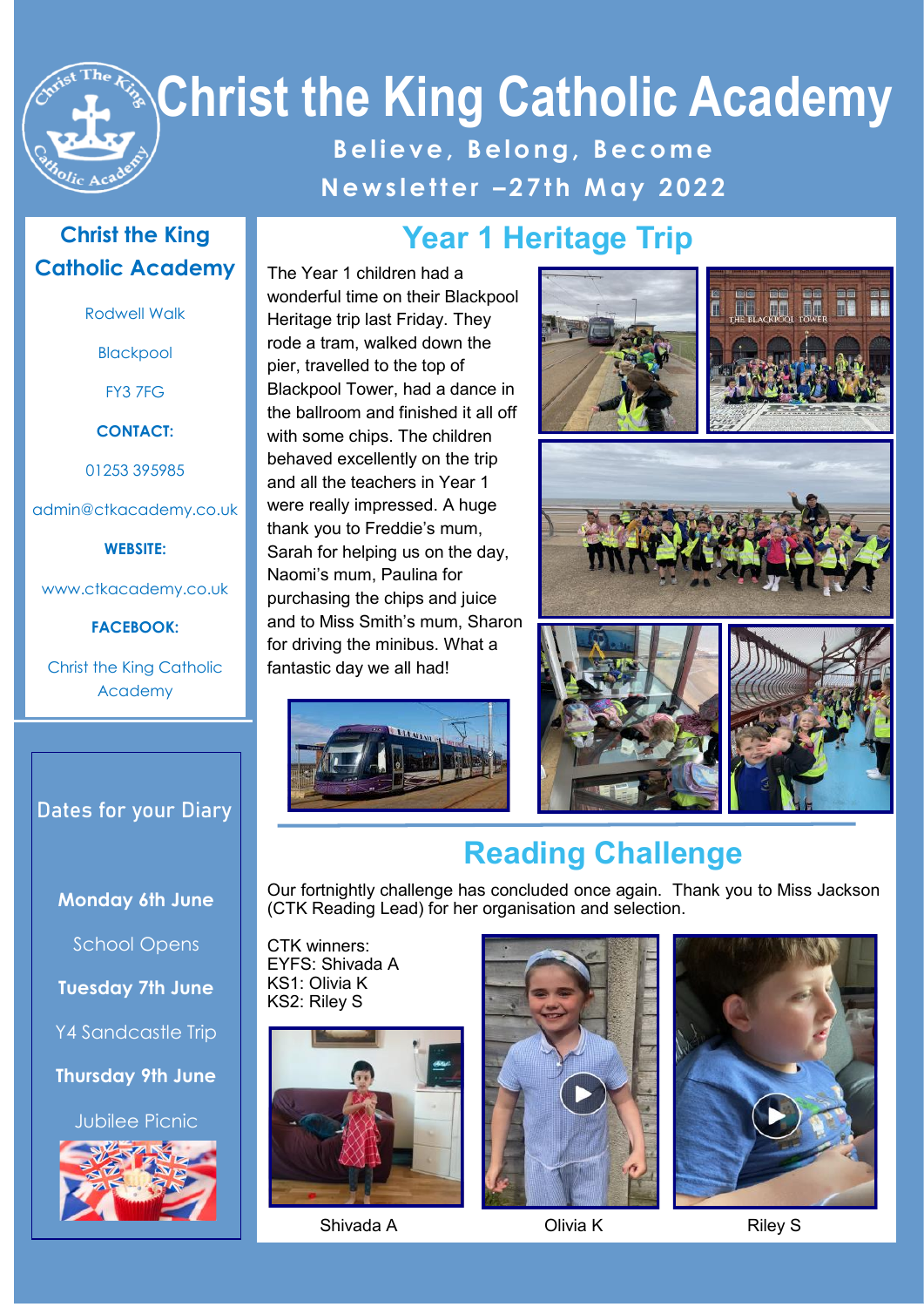# **Christ the King Catholic Academy**

**B e l i e v e , B e l o n g , B e c o m e N e w s l e t t e r – 2 7 t h M a y 2 02 2**

#### **Christ the King Catholic Academy**

Rodwell Walk

Blackpool

FY3 7FG

**CONTACT:**

01253 395985

admin@ctkacademy.co.uk

**WEBSITE:**

www.ctkacademy.co.uk

**FACEBOOK:**

Christ the King Catholic Academy

#### **Dates for your Diary**

**Monday 6th June**

School Opens

**Tuesday 7th June**

Y4 Sandcastle Trip

**Thursday 9th June**

Jubilee Picnic



## **Year 1 Heritage Trip**

The Year 1 children had a wonderful time on their Blackpool Heritage trip last Friday. They rode a tram, walked down the pier, travelled to the top of Blackpool Tower, had a dance in the ballroom and finished it all off with some chips. The children behaved excellently on the trip and all the teachers in Year 1 were really impressed. A huge thank you to Freddie's mum, Sarah for helping us on the day, Naomi's mum, Paulina for purchasing the chips and juice and to Miss Smith's mum, Sharon for driving the minibus. What a fantastic day we all had!







## **Reading Challenge**

Our fortnightly challenge has concluded once again. Thank you to Miss Jackson (CTK Reading Lead) for her organisation and selection.

CTK winners: EYFS: Shivada A KS1: Olivia K KS2: Riley S



Shivada A Clivia K Riley S



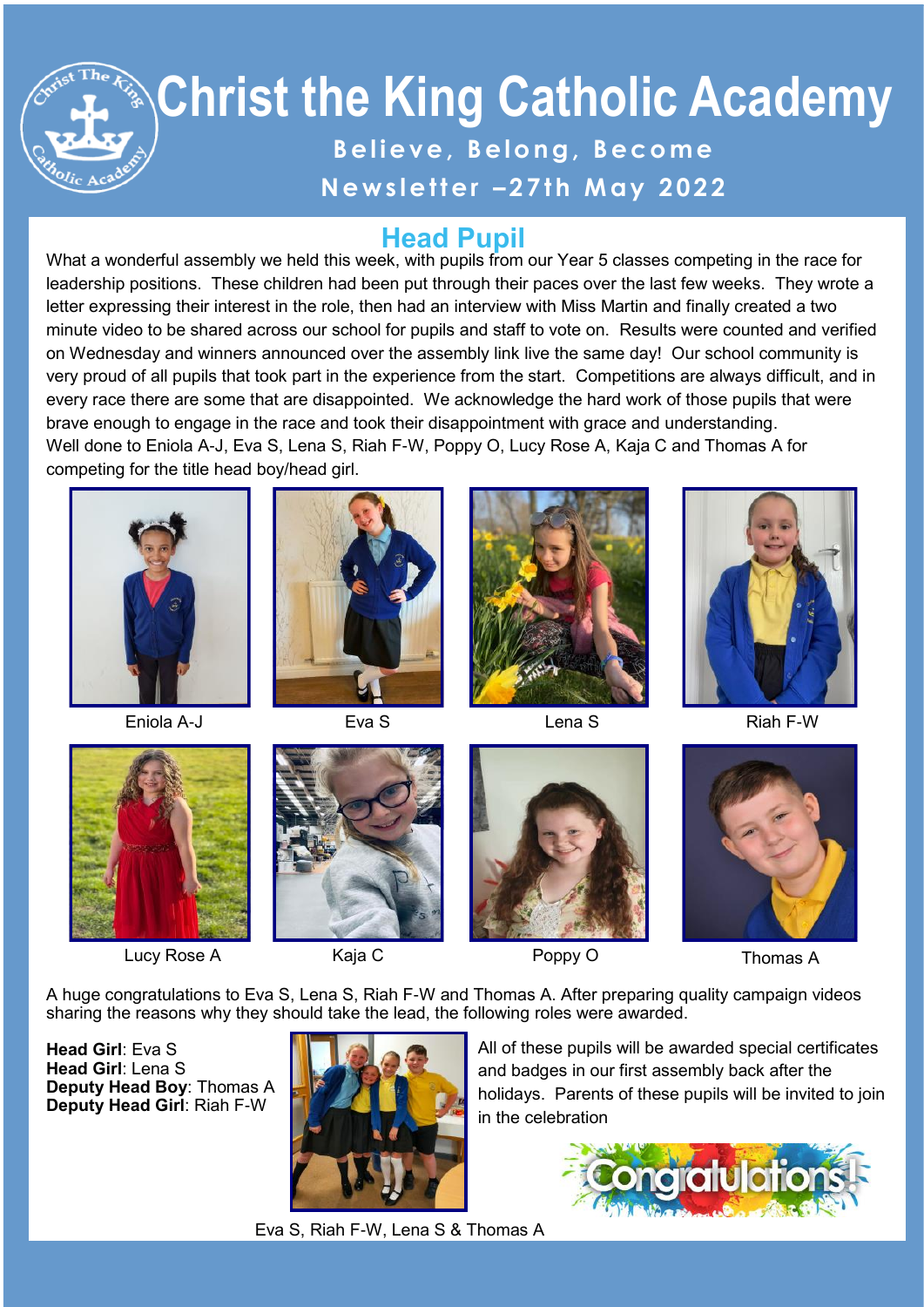## **Christ the King Catholic Academy**  Believe, Belong, Become **N e w s l e t t e r – 2 7 t h M a y 2 02 2**

#### **Head Pupil**

What a wonderful assembly we held this week, with pupils from our Year 5 classes competing in the race for leadership positions. These children had been put through their paces over the last few weeks. They wrote a letter expressing their interest in the role, then had an interview with Miss Martin and finally created a two minute video to be shared across our school for pupils and staff to vote on. Results were counted and verified on Wednesday and winners announced over the assembly link live the same day! Our school community is very proud of all pupils that took part in the experience from the start. Competitions are always difficult, and in every race there are some that are disappointed. We acknowledge the hard work of those pupils that were brave enough to engage in the race and took their disappointment with grace and understanding. Well done to Eniola A-J, Eva S, Lena S, Riah F-W, Poppy O, Lucy Rose A, Kaja C and Thomas A for competing for the title head boy/head girl.



Eniola A-J Eva S Lena S Riah F-W









Lucy Rose A **Kaja C** Roppy O Thomas A







A huge congratulations to Eva S, Lena S, Riah F-W and Thomas A. After preparing quality campaign videos sharing the reasons why they should take the lead, the following roles were awarded.

**Head Girl**: Eva S **Head Girl**: Lena S **Deputy Head Boy**: Thomas A **Deputy Head Girl**: Riah F-W



All of these pupils will be awarded special certificates and badges in our first assembly back after the holidays. Parents of these pupils will be invited to join in the celebration



Eva S, Riah F-W, Lena S & Thomas A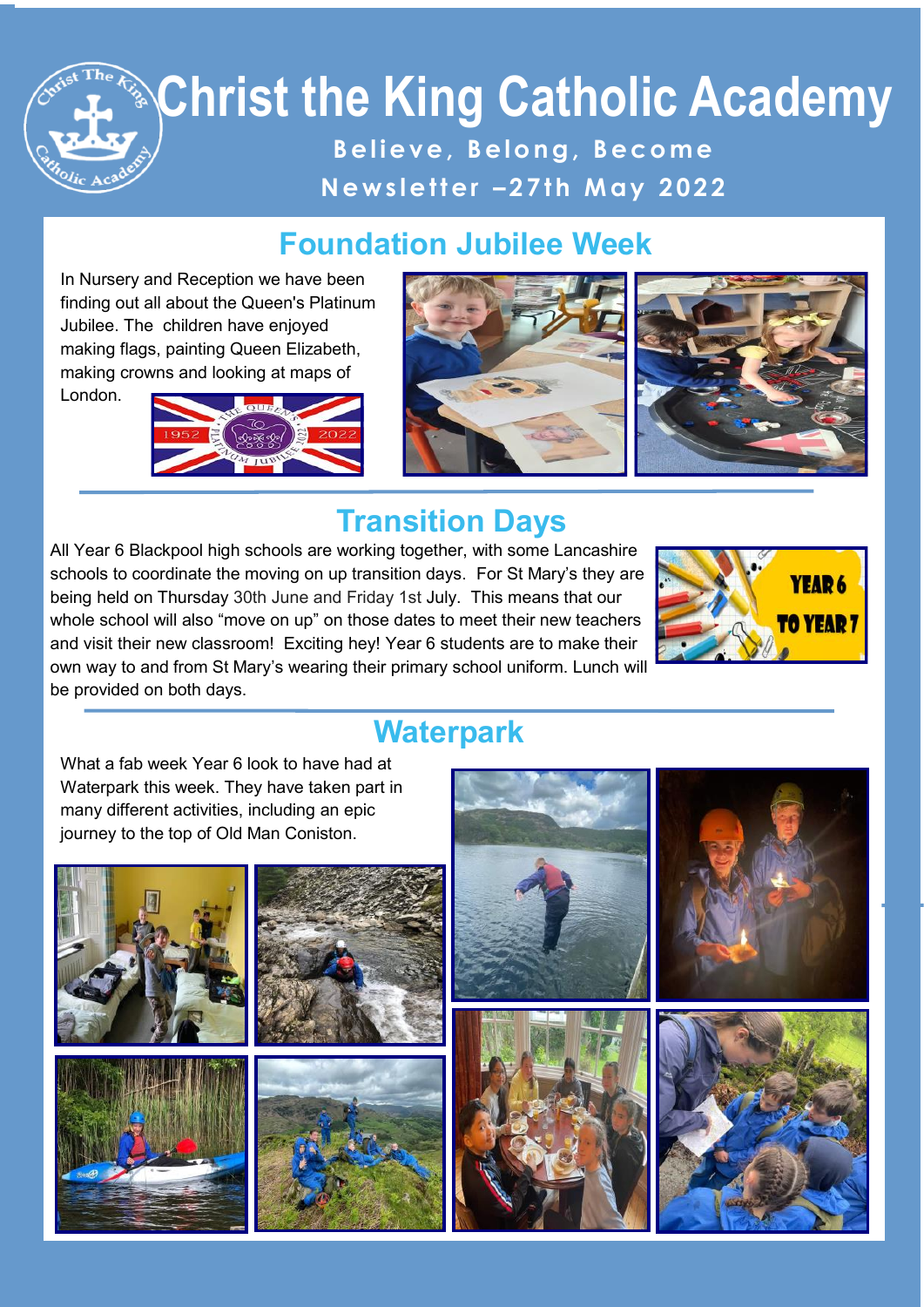## **Christ the King Catholic Academy B e l i e v e , B e l o n g , B e c o m e N e w s l e t t e r – 2 7 t h M a y 2 02 2**

#### **Foundation Jubilee Week**

In Nursery and Reception we have been finding out all about the Queen's Platinum Jubilee. The children have enjoyed making flags, painting Queen Elizabeth, making crowns and looking at maps of

London.





#### **Transition Days**

All Year 6 Blackpool high schools are working together, with some Lancashire schools to coordinate the moving on up transition days. For St Mary's they are being held on Thursday 30th June and Friday 1st July. This means that our whole school will also "move on up" on those dates to meet their new teachers and visit their new classroom! Exciting hey! Year 6 students are to make their own way to and from St Mary's wearing their primary school uniform. Lunch will be provided on both days.



#### **Waterpark**

**Blackpool Evening Gazette School Photo** What a fab week Year 6 look to have had at Waterpark this week. They have taken part in many different activities, including an epic journey to the top of Old Man Coniston.